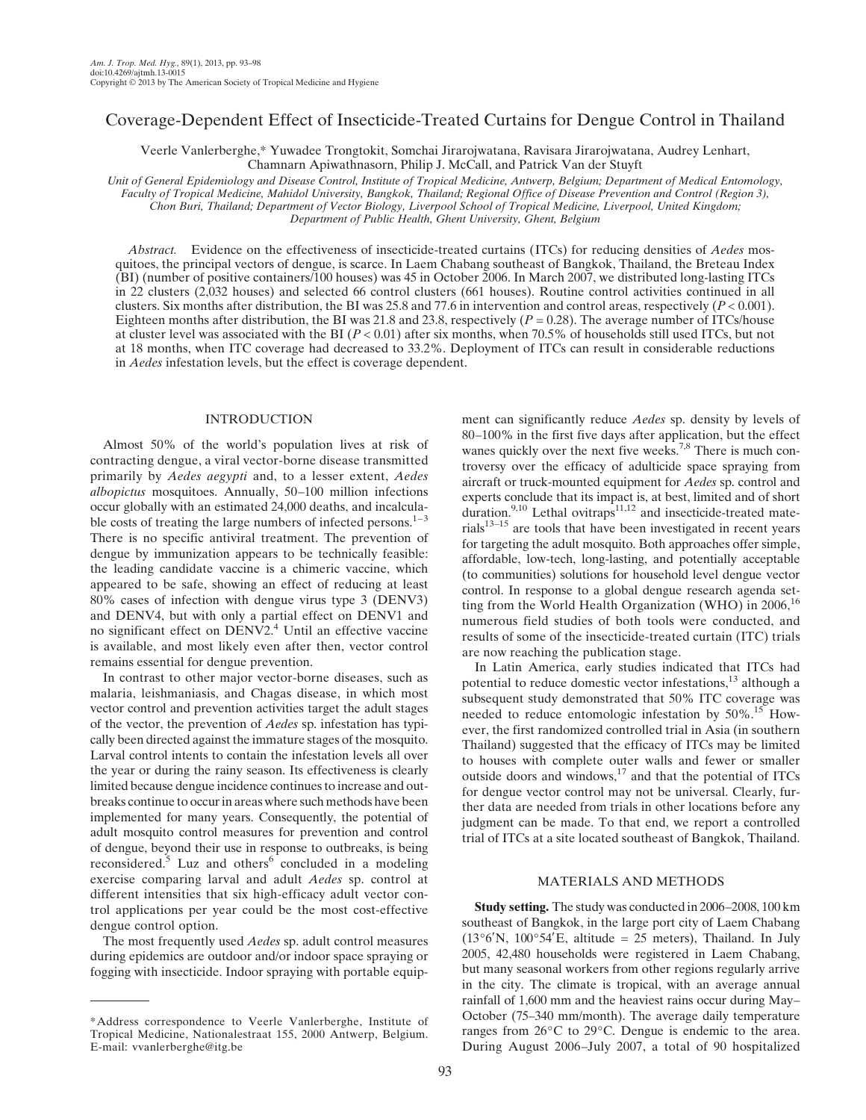# Coverage-Dependent Effect of Insecticide-Treated Curtains for Dengue Control in Thailand

Veerle Vanlerberghe,\* Yuwadee Trongtokit, Somchai Jirarojwatana, Ravisara Jirarojwatana, Audrey Lenhart, Chamnarn Apiwathnasorn, Philip J. McCall, and Patrick Van der Stuyft

Unit of General Epidemiology and Disease Control, Institute of Tropical Medicine, Antwerp, Belgium; Department of Medical Entomology, Faculty of Tropical Medicine, Mahidol University, Bangkok, Thailand; Regional Office of Disease Prevention and Control (Region 3), Chon Buri, Thailand; Department of Vector Biology, Liverpool School of Tropical Medicine, Liverpool, United Kingdom;

Department of Public Health, Ghent University, Ghent, Belgium

Abstract. Evidence on the effectiveness of insecticide-treated curtains (ITCs) for reducing densities of Aedes mosquitoes, the principal vectors of dengue, is scarce. In Laem Chabang southeast of Bangkok, Thailand, the Breteau Index (BI) (number of positive containers/100 houses) was 45 in October 2006. In March 2007, we distributed long-lasting ITCs in 22 clusters (2,032 houses) and selected 66 control clusters (661 houses). Routine control activities continued in all clusters. Six months after distribution, the BI was 25.8 and 77.6 in intervention and control areas, respectively ( $P < 0.001$ ). Eighteen months after distribution, the BI was 21.8 and 23.8, respectively  $(P = 0.28)$ . The average number of ITCs/house at cluster level was associated with the BI ( $P < 0.01$ ) after six months, when 70.5% of households still used ITCs, but not at 18 months, when ITC coverage had decreased to 33.2%. Deployment of ITCs can result in considerable reductions in Aedes infestation levels, but the effect is coverage dependent.

## INTRODUCTION

Almost 50% of the world's population lives at risk of contracting dengue, a viral vector-borne disease transmitted primarily by Aedes aegypti and, to a lesser extent, Aedes albopictus mosquitoes. Annually, 50–100 million infections occur globally with an estimated 24,000 deaths, and incalculable costs of treating the large numbers of infected persons.<sup>1-3</sup> There is no specific antiviral treatment. The prevention of dengue by immunization appears to be technically feasible: the leading candidate vaccine is a chimeric vaccine, which appeared to be safe, showing an effect of reducing at least 80% cases of infection with dengue virus type 3 (DENV3) and DENV4, but with only a partial effect on DENV1 and no significant effect on DENV2.<sup>4</sup> Until an effective vaccine is available, and most likely even after then, vector control remains essential for dengue prevention.

In contrast to other major vector-borne diseases, such as malaria, leishmaniasis, and Chagas disease, in which most vector control and prevention activities target the adult stages of the vector, the prevention of Aedes sp. infestation has typically been directed against the immature stages of the mosquito. Larval control intents to contain the infestation levels all over the year or during the rainy season. Its effectiveness is clearly limited because dengue incidence continues to increase and outbreaks continue to occur in areas where such methods have been implemented for many years. Consequently, the potential of adult mosquito control measures for prevention and control of dengue, beyond their use in response to outbreaks, is being reconsidered. $5$  Luz and others<sup>6</sup> concluded in a modeling exercise comparing larval and adult Aedes sp. control at different intensities that six high-efficacy adult vector control applications per year could be the most cost-effective dengue control option.

The most frequently used Aedes sp. adult control measures during epidemics are outdoor and/or indoor space spraying or fogging with insecticide. Indoor spraying with portable equip-

ment can significantly reduce Aedes sp. density by levels of 80–100% in the first five days after application, but the effect wanes quickly over the next five weeks.<sup>7,8</sup> There is much controversy over the efficacy of adulticide space spraying from aircraft or truck-mounted equipment for Aedes sp. control and experts conclude that its impact is, at best, limited and of short duration. $9,10$  Lethal ovitraps<sup>11,12</sup> and insecticide-treated materials $13-15$  are tools that have been investigated in recent years for targeting the adult mosquito. Both approaches offer simple, affordable, low-tech, long-lasting, and potentially acceptable (to communities) solutions for household level dengue vector control. In response to a global dengue research agenda setting from the World Health Organization (WHO) in 2006,<sup>16</sup> numerous field studies of both tools were conducted, and results of some of the insecticide-treated curtain (ITC) trials are now reaching the publication stage.

In Latin America, early studies indicated that ITCs had potential to reduce domestic vector infestations, $^{13}$  although a subsequent study demonstrated that 50% ITC coverage was needed to reduce entomologic infestation by  $50\%$ .<sup>15</sup> However, the first randomized controlled trial in Asia (in southern Thailand) suggested that the efficacy of ITCs may be limited to houses with complete outer walls and fewer or smaller outside doors and windows, $17$  and that the potential of ITCs for dengue vector control may not be universal. Clearly, further data are needed from trials in other locations before any judgment can be made. To that end, we report a controlled trial of ITCs at a site located southeast of Bangkok, Thailand.

### MATERIALS AND METHODS

Study setting. The study was conducted in 2006–2008, 100 km southeast of Bangkok, in the large port city of Laem Chabang (13°6′N, 100°54′E, altitude = 25 meters), Thailand. In July 2005, 42,480 households were registered in Laem Chabang, but many seasonal workers from other regions regularly arrive in the city. The climate is tropical, with an average annual rainfall of 1,600 mm and the heaviest rains occur during May– October (75–340 mm/month). The average daily temperature ranges from 26°C to 29°C. Dengue is endemic to the area. During August 2006–July 2007, a total of 90 hospitalized

<sup>\*</sup>Address correspondence to Veerle Vanlerberghe, Institute of Tropical Medicine, Nationalestraat 155, 2000 Antwerp, Belgium. E-mail: vvanlerberghe@itg.be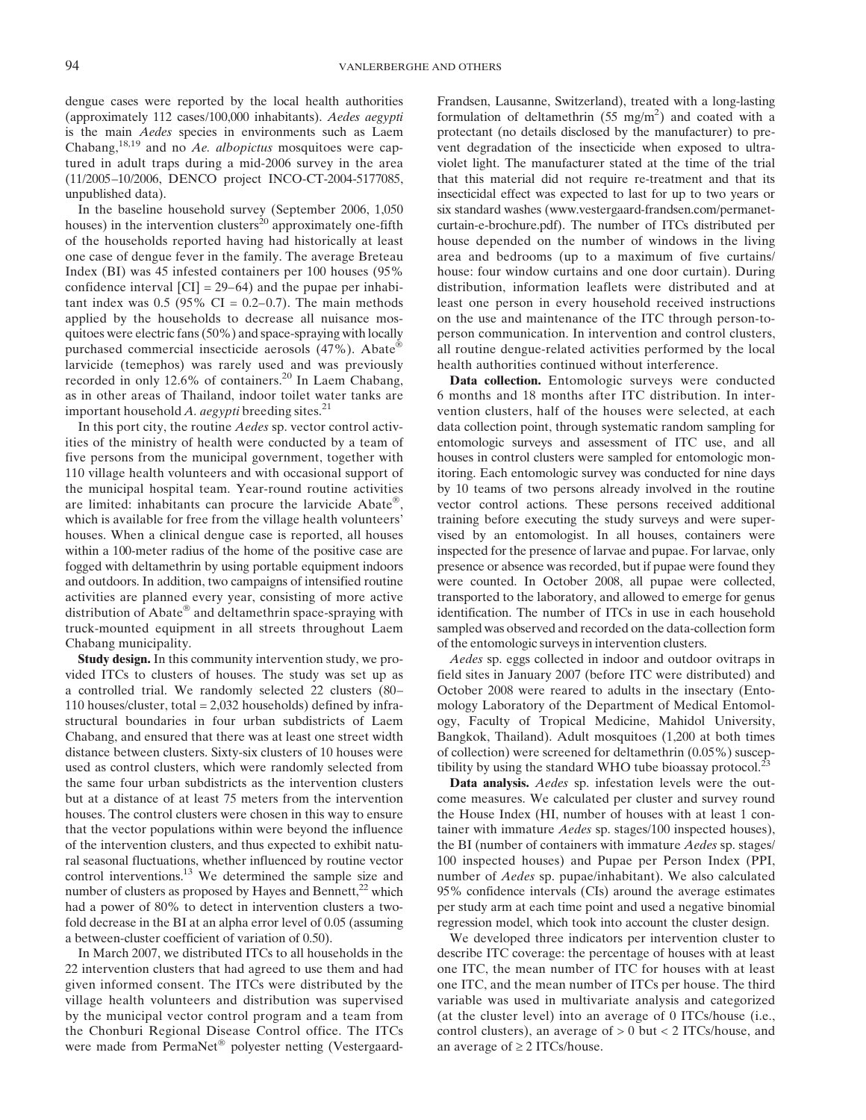dengue cases were reported by the local health authorities (approximately 112 cases/100,000 inhabitants). Aedes aegypti is the main Aedes species in environments such as Laem Chabang, $18,19$  and no Ae. albopictus mosquitoes were captured in adult traps during a mid-2006 survey in the area (11/2005–10/2006, DENCO project INCO-CT-2004-5177085, unpublished data).

In the baseline household survey (September 2006, 1,050 houses) in the intervention clusters<sup>20</sup> approximately one-fifth of the households reported having had historically at least one case of dengue fever in the family. The average Breteau Index (BI) was 45 infested containers per 100 houses (95% confidence interval  $\text{[CI]} = 29-64$  and the pupae per inhabitant index was  $0.5$  (95% CI = 0.2–0.7). The main methods applied by the households to decrease all nuisance mosquitoes were electric fans (50%) and space-spraying with locally purchased commercial insecticide aerosols  $(47\%)$ . Abate<sup>®</sup> larvicide (temephos) was rarely used and was previously recorded in only 12.6% of containers.<sup>20</sup> In Laem Chabang, as in other areas of Thailand, indoor toilet water tanks are important household A. *aegypti* breeding sites.<sup>21</sup>

In this port city, the routine Aedes sp. vector control activities of the ministry of health were conducted by a team of five persons from the municipal government, together with 110 village health volunteers and with occasional support of the municipal hospital team. Year-round routine activities are limited: inhabitants can procure the larvicide  $A$ bate<sup>®</sup>, which is available for free from the village health volunteers' houses. When a clinical dengue case is reported, all houses within a 100-meter radius of the home of the positive case are fogged with deltamethrin by using portable equipment indoors and outdoors. In addition, two campaigns of intensified routine activities are planned every year, consisting of more active distribution of Abate® and deltamethrin space-spraying with truck-mounted equipment in all streets throughout Laem Chabang municipality.

Study design. In this community intervention study, we provided ITCs to clusters of houses. The study was set up as a controlled trial. We randomly selected 22 clusters (80– 110 houses/cluster, total  $= 2,032$  households) defined by infrastructural boundaries in four urban subdistricts of Laem Chabang, and ensured that there was at least one street width distance between clusters. Sixty-six clusters of 10 houses were used as control clusters, which were randomly selected from the same four urban subdistricts as the intervention clusters but at a distance of at least 75 meters from the intervention houses. The control clusters were chosen in this way to ensure that the vector populations within were beyond the influence of the intervention clusters, and thus expected to exhibit natural seasonal fluctuations, whether influenced by routine vector control interventions.13 We determined the sample size and number of clusters as proposed by Hayes and Bennett, $^{22}$  which had a power of 80% to detect in intervention clusters a twofold decrease in the BI at an alpha error level of 0.05 (assuming a between-cluster coefficient of variation of 0.50).

In March 2007, we distributed ITCs to all households in the 22 intervention clusters that had agreed to use them and had given informed consent. The ITCs were distributed by the village health volunteers and distribution was supervised by the municipal vector control program and a team from the Chonburi Regional Disease Control office. The ITCs were made from PermaNet<sup>®</sup> polyester netting (VestergaardFrandsen, Lausanne, Switzerland), treated with a long-lasting formulation of deltamethrin  $(55 \text{ mg/m}^2)$  and coated with a protectant (no details disclosed by the manufacturer) to prevent degradation of the insecticide when exposed to ultraviolet light. The manufacturer stated at the time of the trial that this material did not require re-treatment and that its insecticidal effect was expected to last for up to two years or six standard washes (www.vestergaard-frandsen.com/permanetcurtain-e-brochure.pdf). The number of ITCs distributed per house depended on the number of windows in the living area and bedrooms (up to a maximum of five curtains/ house: four window curtains and one door curtain). During distribution, information leaflets were distributed and at least one person in every household received instructions on the use and maintenance of the ITC through person-toperson communication. In intervention and control clusters, all routine dengue-related activities performed by the local health authorities continued without interference.

Data collection. Entomologic surveys were conducted 6 months and 18 months after ITC distribution. In intervention clusters, half of the houses were selected, at each data collection point, through systematic random sampling for entomologic surveys and assessment of ITC use, and all houses in control clusters were sampled for entomologic monitoring. Each entomologic survey was conducted for nine days by 10 teams of two persons already involved in the routine vector control actions. These persons received additional training before executing the study surveys and were supervised by an entomologist. In all houses, containers were inspected for the presence of larvae and pupae. For larvae, only presence or absence was recorded, but if pupae were found they were counted. In October 2008, all pupae were collected, transported to the laboratory, and allowed to emerge for genus identification. The number of ITCs in use in each household sampled was observed and recorded on the data-collection form of the entomologic surveys in intervention clusters.

Aedes sp. eggs collected in indoor and outdoor ovitraps in field sites in January 2007 (before ITC were distributed) and October 2008 were reared to adults in the insectary (Entomology Laboratory of the Department of Medical Entomology, Faculty of Tropical Medicine, Mahidol University, Bangkok, Thailand). Adult mosquitoes (1,200 at both times of collection) were screened for deltamethrin (0.05%) susceptibility by using the standard WHO tube bioassay protocol.<sup>23</sup>

Data analysis. Aedes sp. infestation levels were the outcome measures. We calculated per cluster and survey round the House Index (HI, number of houses with at least 1 container with immature Aedes sp. stages/100 inspected houses), the BI (number of containers with immature Aedes sp. stages/ 100 inspected houses) and Pupae per Person Index (PPI, number of Aedes sp. pupae/inhabitant). We also calculated 95% confidence intervals (CIs) around the average estimates per study arm at each time point and used a negative binomial regression model, which took into account the cluster design.

We developed three indicators per intervention cluster to describe ITC coverage: the percentage of houses with at least one ITC, the mean number of ITC for houses with at least one ITC, and the mean number of ITCs per house. The third variable was used in multivariate analysis and categorized (at the cluster level) into an average of 0 ITCs/house (i.e., control clusters), an average of  $> 0$  but  $< 2$  ITCs/house, and an average of  $\geq$  2 ITCs/house.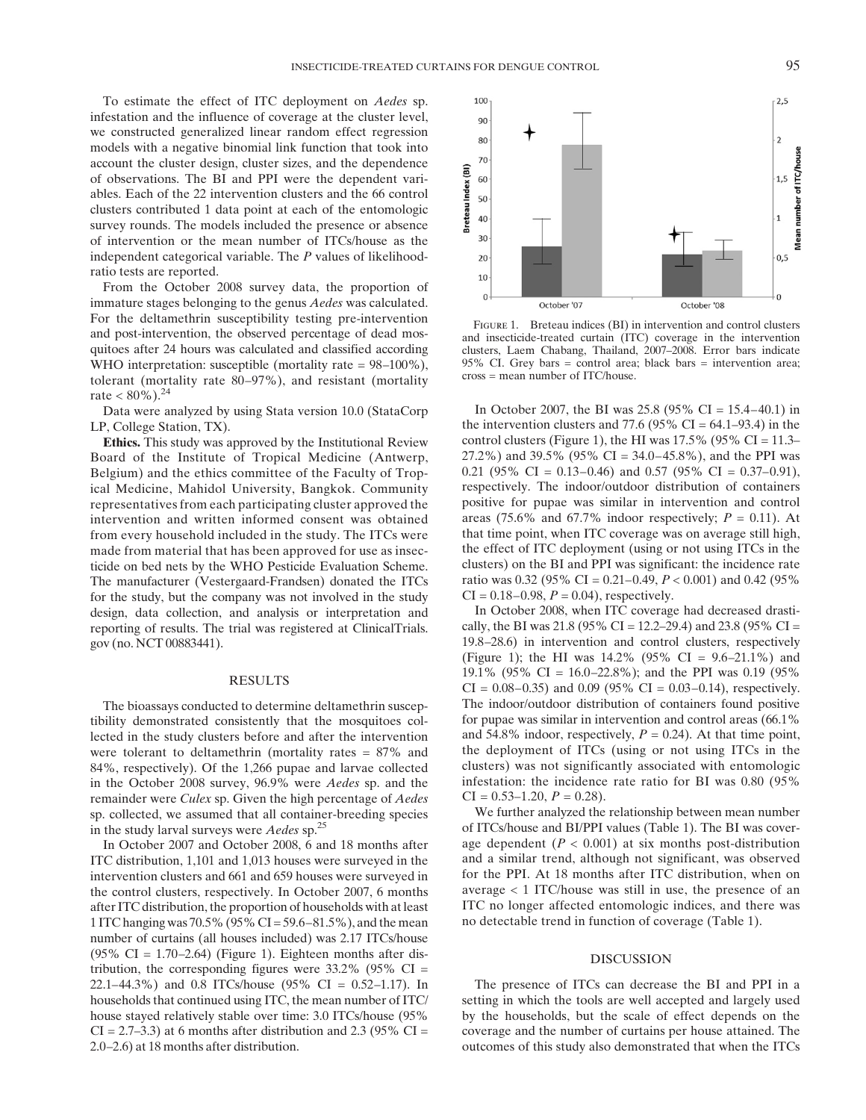To estimate the effect of ITC deployment on Aedes sp. infestation and the influence of coverage at the cluster level, we constructed generalized linear random effect regression models with a negative binomial link function that took into account the cluster design, cluster sizes, and the dependence of observations. The BI and PPI were the dependent variables. Each of the 22 intervention clusters and the 66 control clusters contributed 1 data point at each of the entomologic survey rounds. The models included the presence or absence of intervention or the mean number of ITCs/house as the independent categorical variable. The P values of likelihoodratio tests are reported.

From the October 2008 survey data, the proportion of immature stages belonging to the genus Aedes was calculated. For the deltamethrin susceptibility testing pre-intervention and post-intervention, the observed percentage of dead mosquitoes after 24 hours was calculated and classified according WHO interpretation: susceptible (mortality rate =  $98-100\%$ ), tolerant (mortality rate 80–97%), and resistant (mortality rate  $< 80\%$ ).<sup>24</sup>

Data were analyzed by using Stata version 10.0 (StataCorp LP, College Station, TX).

Ethics. This study was approved by the Institutional Review Board of the Institute of Tropical Medicine (Antwerp, Belgium) and the ethics committee of the Faculty of Tropical Medicine, Mahidol University, Bangkok. Community representatives from each participating cluster approved the intervention and written informed consent was obtained from every household included in the study. The ITCs were made from material that has been approved for use as insecticide on bed nets by the WHO Pesticide Evaluation Scheme. The manufacturer (Vestergaard-Frandsen) donated the ITCs for the study, but the company was not involved in the study design, data collection, and analysis or interpretation and reporting of results. The trial was registered at ClinicalTrials. gov (no. NCT 00883441).

#### RESULTS

The bioassays conducted to determine deltamethrin susceptibility demonstrated consistently that the mosquitoes collected in the study clusters before and after the intervention were tolerant to deltamethrin (mortality rates = 87% and 84%, respectively). Of the 1,266 pupae and larvae collected in the October 2008 survey, 96.9% were Aedes sp. and the remainder were Culex sp. Given the high percentage of Aedes sp. collected, we assumed that all container-breeding species in the study larval surveys were Aedes sp. $^{25}$ 

In October 2007 and October 2008, 6 and 18 months after ITC distribution, 1,101 and 1,013 houses were surveyed in the intervention clusters and 661 and 659 houses were surveyed in the control clusters, respectively. In October 2007, 6 months after ITC distribution, the proportion of households with at least 1 ITC hanging was 70.5% (95% CI= 59.6–81.5%), and the mean number of curtains (all houses included) was 2.17 ITCs/house (95% CI =  $1.70-2.64$ ) (Figure 1). Eighteen months after distribution, the corresponding figures were  $33.2\%$  (95% CI = 22.1–44.3%) and 0.8 ITCs/house (95% CI = 0.52–1.17). In households that continued using ITC, the mean number of ITC/ house stayed relatively stable over time: 3.0 ITCs/house (95%  $CI = 2.7-3.3$ ) at 6 months after distribution and 2.3 (95%  $CI =$ 2.0–2.6) at 18 months after distribution.



FIGURE 1. Breteau indices (BI) in intervention and control clusters and insecticide-treated curtain (ITC) coverage in the intervention clusters, Laem Chabang, Thailand, 2007–2008. Error bars indicate 95% CI. Grey bars = control area; black bars = intervention area; cross = mean number of ITC/house.

In October 2007, the BI was  $25.8$  (95% CI = 15.4–40.1) in the intervention clusters and 77.6 (95% CI = 64.1–93.4) in the control clusters (Figure 1), the HI was  $17.5\%$  (95% CI = 11.3– 27.2%) and 39.5% (95% CI = 34.0–45.8%), and the PPI was 0.21 (95% CI = 0.13–0.46) and 0.57 (95% CI = 0.37–0.91), respectively. The indoor/outdoor distribution of containers positive for pupae was similar in intervention and control areas (75.6% and 67.7% indoor respectively;  $P = 0.11$ ). At that time point, when ITC coverage was on average still high, the effect of ITC deployment (using or not using ITCs in the clusters) on the BI and PPI was significant: the incidence rate ratio was 0.32 (95% CI = 0.21–0.49,  $P < 0.001$ ) and 0.42 (95%  $CI = 0.18 - 0.98$ ,  $P = 0.04$ ), respectively.

In October 2008, when ITC coverage had decreased drastically, the BI was 21.8 (95% CI = 12.2–29.4) and 23.8 (95% CI = 19.8–28.6) in intervention and control clusters, respectively (Figure 1); the HI was 14.2% (95% CI = 9.6–21.1%) and 19.1% (95% CI = 16.0–22.8%); and the PPI was 0.19 (95%  $CI = 0.08 - 0.35$ ) and 0.09 (95%  $CI = 0.03 - 0.14$ ), respectively. The indoor/outdoor distribution of containers found positive for pupae was similar in intervention and control areas (66.1% and 54.8% indoor, respectively,  $P = 0.24$ ). At that time point, the deployment of ITCs (using or not using ITCs in the clusters) was not significantly associated with entomologic infestation: the incidence rate ratio for BI was 0.80 (95%  $CI = 0.53 - 1.20, P = 0.28$ .

We further analyzed the relationship between mean number of ITCs/house and BI/PPI values (Table 1). The BI was coverage dependent ( $P < 0.001$ ) at six months post-distribution and a similar trend, although not significant, was observed for the PPI. At 18 months after ITC distribution, when on average < 1 ITC/house was still in use, the presence of an ITC no longer affected entomologic indices, and there was no detectable trend in function of coverage (Table 1).

#### DISCUSSION

The presence of ITCs can decrease the BI and PPI in a setting in which the tools are well accepted and largely used by the households, but the scale of effect depends on the coverage and the number of curtains per house attained. The outcomes of this study also demonstrated that when the ITCs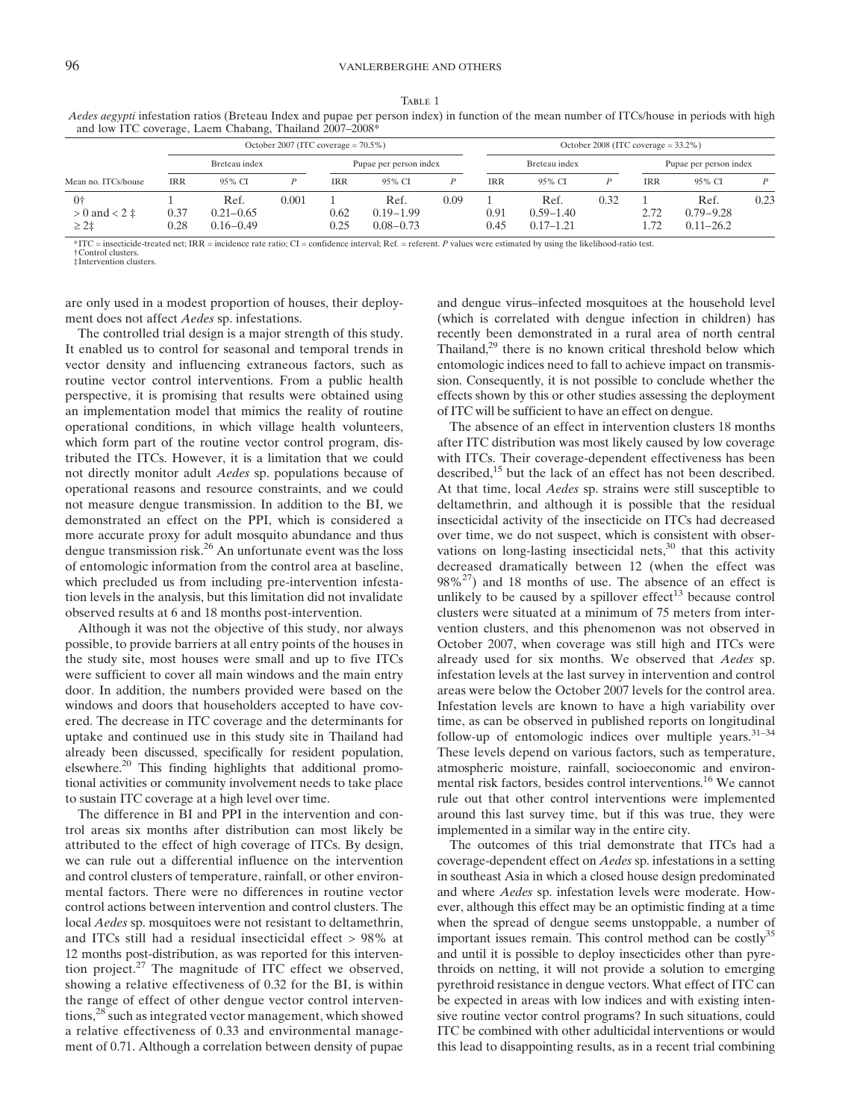| P.<br>w                 | ٠<br>٠ | I | ., |
|-------------------------|--------|---|----|
|                         |        |   |    |
| I<br>٦<br>۰,<br>٠<br>M. | I<br>I |   |    |

| .<br>and low ITC coverage, Laem Chabang, Thailand 2007–2008* |                                         |        |  |            |               |                                         |     |                        |  |            |        | $\tilde{\phantom{a}}$ |
|--------------------------------------------------------------|-----------------------------------------|--------|--|------------|---------------|-----------------------------------------|-----|------------------------|--|------------|--------|-----------------------|
|                                                              | October 2007 (ITC coverage $= 70.5\%$ ) |        |  |            |               | October 2008 (ITC coverage $= 33.2\%$ ) |     |                        |  |            |        |                       |
|                                                              | Breteau index<br>Pupae per person index |        |  |            | Breteau index |                                         |     | Pupae per person index |  |            |        |                       |
| Mean no. ITCs/house                                          | <b>IRR</b>                              | 95% CI |  | <b>IRR</b> | 95% CI        |                                         | IRR | 95% CI                 |  | <b>IRR</b> | 95% CI |                       |

0† 1 Ref. 0.001 1 Ref. 0.09 1 Ref. 0.32 1 Ref. 0.23 > 0 and < 2 ‡ 0.37 0.21–0.65 0.62 0.19–1.99 0.91 0.59–1.40 2.72 0.79–9.28  $\geq 2$   $\sharp$  0.28 0.16–0.49 0.25 0.08–0.73 0.45 0.17–1.21 1.72 0.11–26.2

TABLE 1 Aedes aegypti infestation ratios (Breteau Index and pupae per person index) in function of the mean number of ITCs/house in periods with high

\*ITC = insecticide-treated net; IRR = incidence rate ratio; CI = confidence interval; Ref. = referent. P values were estimated by using the likelihood-ratio test. †Control clusters.

‡Intervention clusters.

are only used in a modest proportion of houses, their deployment does not affect Aedes sp. infestations.

The controlled trial design is a major strength of this study. It enabled us to control for seasonal and temporal trends in vector density and influencing extraneous factors, such as routine vector control interventions. From a public health perspective, it is promising that results were obtained using an implementation model that mimics the reality of routine operational conditions, in which village health volunteers, which form part of the routine vector control program, distributed the ITCs. However, it is a limitation that we could not directly monitor adult Aedes sp. populations because of operational reasons and resource constraints, and we could not measure dengue transmission. In addition to the BI, we demonstrated an effect on the PPI, which is considered a more accurate proxy for adult mosquito abundance and thus dengue transmission risk.26 An unfortunate event was the loss of entomologic information from the control area at baseline, which precluded us from including pre-intervention infestation levels in the analysis, but this limitation did not invalidate observed results at 6 and 18 months post-intervention.

Although it was not the objective of this study, nor always possible, to provide barriers at all entry points of the houses in the study site, most houses were small and up to five ITCs were sufficient to cover all main windows and the main entry door. In addition, the numbers provided were based on the windows and doors that householders accepted to have covered. The decrease in ITC coverage and the determinants for uptake and continued use in this study site in Thailand had already been discussed, specifically for resident population, elsewhere.20 This finding highlights that additional promotional activities or community involvement needs to take place to sustain ITC coverage at a high level over time.

The difference in BI and PPI in the intervention and control areas six months after distribution can most likely be attributed to the effect of high coverage of ITCs. By design, we can rule out a differential influence on the intervention and control clusters of temperature, rainfall, or other environmental factors. There were no differences in routine vector control actions between intervention and control clusters. The local Aedes sp. mosquitoes were not resistant to deltamethrin, and ITCs still had a residual insecticidal effect > 98% at 12 months post-distribution, as was reported for this intervention project. $27$  The magnitude of ITC effect we observed, showing a relative effectiveness of 0.32 for the BI, is within the range of effect of other dengue vector control interventions,<sup>28</sup> such as integrated vector management, which showed a relative effectiveness of 0.33 and environmental management of 0.71. Although a correlation between density of pupae

and dengue virus–infected mosquitoes at the household level (which is correlated with dengue infection in children) has recently been demonstrated in a rural area of north central Thailand,<sup>29</sup> there is no known critical threshold below which entomologic indices need to fall to achieve impact on transmission. Consequently, it is not possible to conclude whether the effects shown by this or other studies assessing the deployment of ITC will be sufficient to have an effect on dengue.

The absence of an effect in intervention clusters 18 months after ITC distribution was most likely caused by low coverage with ITCs. Their coverage-dependent effectiveness has been described,<sup>15</sup> but the lack of an effect has not been described. At that time, local Aedes sp. strains were still susceptible to deltamethrin, and although it is possible that the residual insecticidal activity of the insecticide on ITCs had decreased over time, we do not suspect, which is consistent with observations on long-lasting insecticidal nets, $30$  that this activity decreased dramatically between 12 (when the effect was  $98\%^{27}$ ) and 18 months of use. The absence of an effect is unlikely to be caused by a spillover effect<sup>13</sup> because control clusters were situated at a minimum of 75 meters from intervention clusters, and this phenomenon was not observed in October 2007, when coverage was still high and ITCs were already used for six months. We observed that Aedes sp. infestation levels at the last survey in intervention and control areas were below the October 2007 levels for the control area. Infestation levels are known to have a high variability over time, as can be observed in published reports on longitudinal follow-up of entomologic indices over multiple years.  $31-34$ These levels depend on various factors, such as temperature, atmospheric moisture, rainfall, socioeconomic and environmental risk factors, besides control interventions.16 We cannot rule out that other control interventions were implemented around this last survey time, but if this was true, they were implemented in a similar way in the entire city.

The outcomes of this trial demonstrate that ITCs had a coverage-dependent effect on Aedes sp. infestations in a setting in southeast Asia in which a closed house design predominated and where Aedes sp. infestation levels were moderate. However, although this effect may be an optimistic finding at a time when the spread of dengue seems unstoppable, a number of important issues remain. This control method can be  $costly<sup>35</sup>$ and until it is possible to deploy insecticides other than pyrethroids on netting, it will not provide a solution to emerging pyrethroid resistance in dengue vectors. What effect of ITC can be expected in areas with low indices and with existing intensive routine vector control programs? In such situations, could ITC be combined with other adulticidal interventions or would this lead to disappointing results, as in a recent trial combining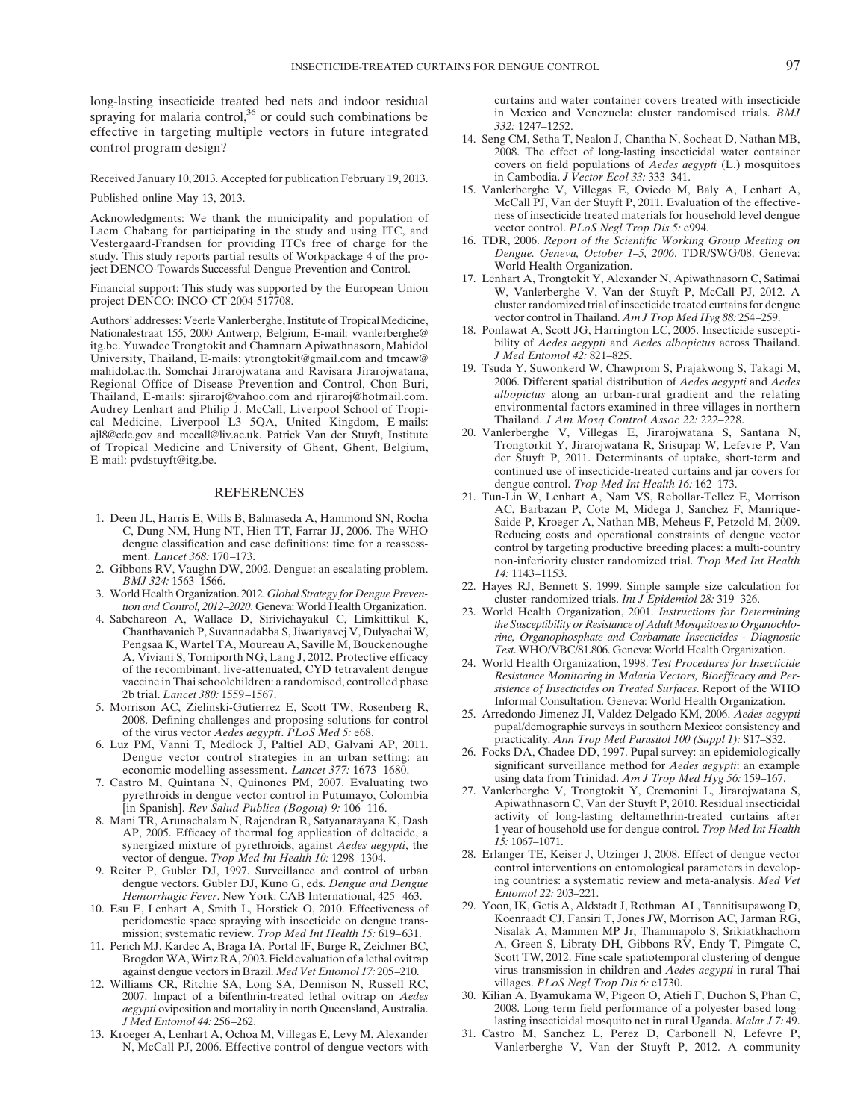long-lasting insecticide treated bed nets and indoor residual spraying for malaria control, $36$  or could such combinations be effective in targeting multiple vectors in future integrated control program design?

Received January 10, 2013. Accepted for publication February 19, 2013.

Published online May 13, 2013.

Acknowledgments: We thank the municipality and population of Laem Chabang for participating in the study and using ITC, and Vestergaard-Frandsen for providing ITCs free of charge for the study. This study reports partial results of Workpackage 4 of the project DENCO-Towards Successful Dengue Prevention and Control.

Financial support: This study was supported by the European Union project DENCO: INCO-CT-2004-517708.

Authors' addresses: Veerle Vanlerberghe, Institute of Tropical Medicine, Nationalestraat 155, 2000 Antwerp, Belgium, E-mail: vvanlerberghe@ itg.be. Yuwadee Trongtokit and Chamnarn Apiwathnasorn, Mahidol University, Thailand, E-mails: ytrongtokit@gmail.com and tmcaw@ mahidol.ac.th. Somchai Jirarojwatana and Ravisara Jirarojwatana, Regional Office of Disease Prevention and Control, Chon Buri, Thailand, E-mails: sjiraroj@yahoo.com and rjiraroj@hotmail.com. Audrey Lenhart and Philip J. McCall, Liverpool School of Tropical Medicine, Liverpool L3 5QA, United Kingdom, E-mails: ajl8@cdc.gov and mccall@liv.ac.uk. Patrick Van der Stuyft, Institute of Tropical Medicine and University of Ghent, Ghent, Belgium, E-mail: pvdstuyft@itg.be.

#### REFERENCES

- 1. Deen JL, Harris E, Wills B, Balmaseda A, Hammond SN, Rocha C, Dung NM, Hung NT, Hien TT, Farrar JJ, 2006. The WHO dengue classification and case definitions: time for a reassessment. Lancet 368: 170–173.
- 2. Gibbons RV, Vaughn DW, 2002. Dengue: an escalating problem. BMJ 324: 1563–1566.
- 3. World Health Organization. 2012. Global Strategy for Dengue Prevention and Control, 2012–2020. Geneva: World Health Organization.
- 4. Sabchareon A, Wallace D, Sirivichayakul C, Limkittikul K, Chanthavanich P, Suvannadabba S, Jiwariyavej V, Dulyachai W, Pengsaa K, Wartel TA, Moureau A, Saville M, Bouckenoughe A, Viviani S, Torniporth NG, Lang J, 2012. Protective efficacy of the recombinant, live-attenuated, CYD tetravalent dengue vaccine in Thai schoolchildren: a randomised, controlled phase 2b trial. Lancet 380: 1559–1567.
- 5. Morrison AC, Zielinski-Gutierrez E, Scott TW, Rosenberg R, 2008. Defining challenges and proposing solutions for control of the virus vector Aedes aegypti. PLoS Med 5: e68.
- 6. Luz PM, Vanni T, Medlock J, Paltiel AD, Galvani AP, 2011. Dengue vector control strategies in an urban setting: an economic modelling assessment. Lancet 377: 1673–1680.
- 7. Castro M, Quintana N, Quinones PM, 2007. Evaluating two pyrethroids in dengue vector control in Putumayo, Colombia [in Spanish]. Rev Salud Publica (Bogota) 9: 106–116.
- 8. Mani TR, Arunachalam N, Rajendran R, Satyanarayana K, Dash AP, 2005. Efficacy of thermal fog application of deltacide, a synergized mixture of pyrethroids, against Aedes aegypti, the vector of dengue. Trop Med Int Health 10: 1298–1304.
- 9. Reiter P, Gubler DJ, 1997. Surveillance and control of urban dengue vectors. Gubler DJ, Kuno G, eds. Dengue and Dengue Hemorrhagic Fever. New York: CAB International, 425–463.
- 10. Esu E, Lenhart A, Smith L, Horstick O, 2010. Effectiveness of peridomestic space spraying with insecticide on dengue transmission; systematic review. Trop Med Int Health 15: 619–631.
- 11. Perich MJ, Kardec A, Braga IA, Portal IF, Burge R, Zeichner BC, BrogdonWA,Wirtz RA, 2003. Field evaluation of a lethal ovitrap against dengue vectors in Brazil. Med Vet Entomol 17: 205–210.
- 12. Williams CR, Ritchie SA, Long SA, Dennison N, Russell RC, 2007. Impact of a bifenthrin-treated lethal ovitrap on Aedes aegypti oviposition and mortality in north Queensland, Australia. J Med Entomol 44: 256–262.
- 13. Kroeger A, Lenhart A, Ochoa M, Villegas E, Levy M, Alexander N, McCall PJ, 2006. Effective control of dengue vectors with

curtains and water container covers treated with insecticide in Mexico and Venezuela: cluster randomised trials. BMJ 332: 1247–1252.

- 14. Seng CM, Setha T, Nealon J, Chantha N, Socheat D, Nathan MB, 2008. The effect of long-lasting insecticidal water container covers on field populations of Aedes aegypti (L.) mosquitoes in Cambodia. J Vector Ecol 33: 333–341.
- 15. Vanlerberghe V, Villegas E, Oviedo M, Baly A, Lenhart A, McCall PJ, Van der Stuyft P, 2011. Evaluation of the effectiveness of insecticide treated materials for household level dengue vector control. PLoS Negl Trop Dis 5: e994.
- 16. TDR, 2006. Report of the Scientific Working Group Meeting on Dengue. Geneva, October 1–5, 2006. TDR/SWG/08. Geneva: World Health Organization.
- 17. Lenhart A, Trongtokit Y, Alexander N, Apiwathnasorn C, Satimai W, Vanlerberghe V, Van der Stuyft P, McCall PJ, 2012. A cluster randomized trial of insecticide treated curtains for dengue vector control in Thailand. Am J Trop Med Hyg 88: 254–259.
- 18. Ponlawat A, Scott JG, Harrington LC, 2005. Insecticide susceptibility of Aedes aegypti and Aedes albopictus across Thailand. J Med Entomol 42: 821–825.
- 19. Tsuda Y, Suwonkerd W, Chawprom S, Prajakwong S, Takagi M, 2006. Different spatial distribution of Aedes aegypti and Aedes albopictus along an urban-rural gradient and the relating environmental factors examined in three villages in northern Thailand. J Am Mosq Control Assoc 22: 222–228.
- 20. Vanlerberghe V, Villegas E, Jirarojwatana S, Santana N, Trongtorkit Y, Jirarojwatana R, Srisupap W, Lefevre P, Van der Stuyft P, 2011. Determinants of uptake, short-term and continued use of insecticide-treated curtains and jar covers for dengue control. Trop Med Int Health 16: 162–173.
- 21. Tun-Lin W, Lenhart A, Nam VS, Rebollar-Tellez E, Morrison AC, Barbazan P, Cote M, Midega J, Sanchez F, Manrique-Saide P, Kroeger A, Nathan MB, Meheus F, Petzold M, 2009. Reducing costs and operational constraints of dengue vector control by targeting productive breeding places: a multi-country non-inferiority cluster randomized trial. Trop Med Int Health 14: 1143–1153.
- 22. Hayes RJ, Bennett S, 1999. Simple sample size calculation for cluster-randomized trials. Int J Epidemiol 28: 319–326.
- 23. World Health Organization, 2001. Instructions for Determining the Susceptibility or Resistance of Adult Mosquitoes to Organochlorine, Organophosphate and Carbamate Insecticides - Diagnostic Test. WHO/VBC/81.806. Geneva: World Health Organization.
- 24. World Health Organization, 1998. Test Procedures for Insecticide Resistance Monitoring in Malaria Vectors, Bioefficacy and Persistence of Insecticides on Treated Surfaces. Report of the WHO Informal Consultation. Geneva: World Health Organization.
- 25. Arredondo-Jimenez JI, Valdez-Delgado KM, 2006. Aedes aegypti pupal/demographic surveys in southern Mexico: consistency and practicality. Ann Trop Med Parasitol 100 (Suppl 1): S17–S32.
- 26. Focks DA, Chadee DD, 1997. Pupal survey: an epidemiologically significant surveillance method for Aedes aegypti: an example using data from Trinidad. Am J Trop Med Hyg 56: 159–167.
- 27. Vanlerberghe V, Trongtokit Y, Cremonini L, Jirarojwatana S, Apiwathnasorn C, Van der Stuyft P, 2010. Residual insecticidal activity of long-lasting deltamethrin-treated curtains after 1 year of household use for dengue control. Trop Med Int Health 15: 1067–1071.
- 28. Erlanger TE, Keiser J, Utzinger J, 2008. Effect of dengue vector control interventions on entomological parameters in developing countries: a systematic review and meta-analysis. Med Vet Entomol 22: 203–221.
- 29. Yoon, IK, Getis A, Aldstadt J, Rothman AL, Tannitisupawong D, Koenraadt CJ, Fansiri T, Jones JW, Morrison AC, Jarman RG, Nisalak A, Mammen MP Jr, Thammapolo S, Srikiatkhachorn A, Green S, Libraty DH, Gibbons RV, Endy T, Pimgate C, Scott TW, 2012. Fine scale spatiotemporal clustering of dengue virus transmission in children and Aedes aegypti in rural Thai villages. PLoS Negl Trop Dis 6: e1730.
- 30. Kilian A, Byamukama W, Pigeon O, Atieli F, Duchon S, Phan C, 2008. Long-term field performance of a polyester-based longlasting insecticidal mosquito net in rural Uganda. Malar J 7: 49.
- 31. Castro M, Sanchez L, Perez D, Carbonell N, Lefevre P, Vanlerberghe V, Van der Stuyft P, 2012. A community